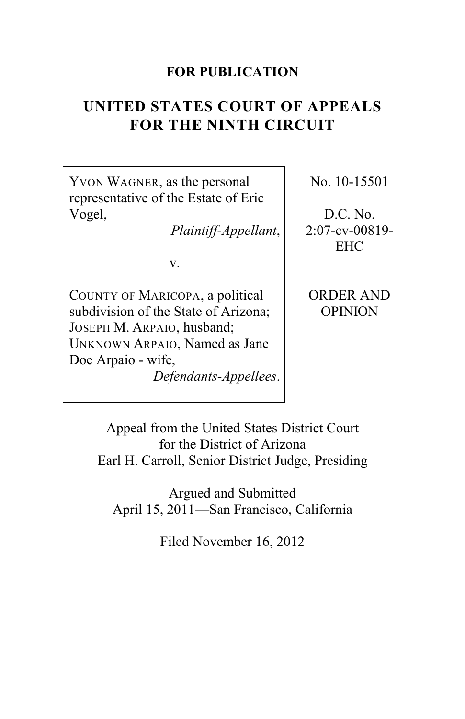### **FOR PUBLICATION**

# **UNITED STATES COURT OF APPEALS FOR THE NINTH CIRCUIT**

YVON WAGNER, as the personal representative of the Estate of Eric Vogel,

*Plaintiff-Appellant*,

v.

COUNTY OF MARICOPA, a political subdivision of the State of Arizona; JOSEPH M. ARPAIO, husband; UNKNOWN ARPAIO, Named as Jane Doe Arpaio - wife, *Defendants-Appellees*. No. 10-15501

D.C. No. 2:07-cv-00819- EHC

ORDER AND OPINION

Appeal from the United States District Court for the District of Arizona Earl H. Carroll, Senior District Judge, Presiding

Argued and Submitted April 15, 2011—San Francisco, California

Filed November 16, 2012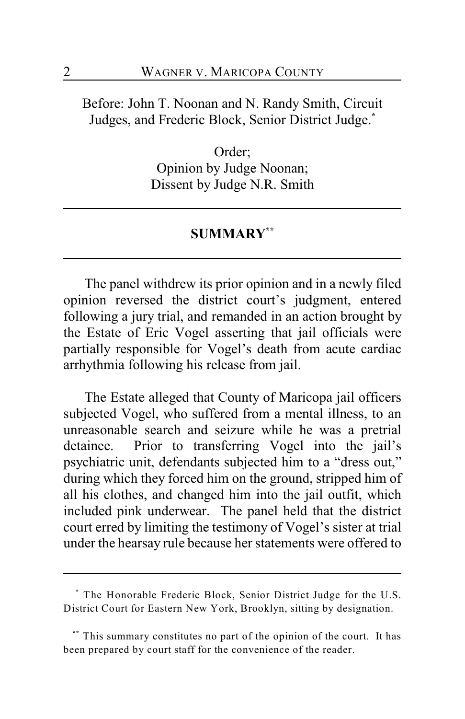Before: John T. Noonan and N. Randy Smith, Circuit Judges, and Frederic Block, Senior District Judge.**\***

> Order; Opinion by Judge Noonan; Dissent by Judge N.R. Smith

### **SUMMARY \*\***

The panel withdrew its prior opinion and in a newly filed opinion reversed the district court's judgment, entered following a jury trial, and remanded in an action brought by the Estate of Eric Vogel asserting that jail officials were partially responsible for Vogel's death from acute cardiac arrhythmia following his release from jail.

The Estate alleged that County of Maricopa jail officers subjected Vogel, who suffered from a mental illness, to an unreasonable search and seizure while he was a pretrial detainee. Prior to transferring Vogel into the jail's psychiatric unit, defendants subjected him to a "dress out," during which they forced him on the ground, stripped him of all his clothes, and changed him into the jail outfit, which included pink underwear. The panel held that the district court erred by limiting the testimony of Vogel's sister at trial under the hearsay rule because her statements were offered to

The Honorable Frederic Block, Senior District Judge for the U.S. **\*** District Court for Eastern New York, Brooklyn, sitting by designation.

This summary constitutes no part of the opinion of the court. It has **\*\*** been prepared by court staff for the convenience of the reader.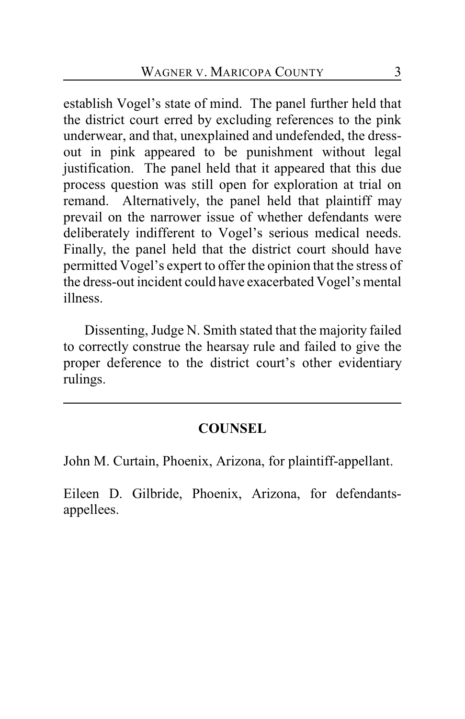establish Vogel's state of mind. The panel further held that the district court erred by excluding references to the pink underwear, and that, unexplained and undefended, the dressout in pink appeared to be punishment without legal justification. The panel held that it appeared that this due process question was still open for exploration at trial on remand. Alternatively, the panel held that plaintiff may prevail on the narrower issue of whether defendants were deliberately indifferent to Vogel's serious medical needs. Finally, the panel held that the district court should have permitted Vogel's expert to offer the opinion that the stress of the dress-out incident could have exacerbated Vogel's mental illness.

Dissenting, Judge N. Smith stated that the majority failed to correctly construe the hearsay rule and failed to give the proper deference to the district court's other evidentiary rulings.

# **COUNSEL**

John M. Curtain, Phoenix, Arizona, for plaintiff-appellant.

Eileen D. Gilbride, Phoenix, Arizona, for defendantsappellees.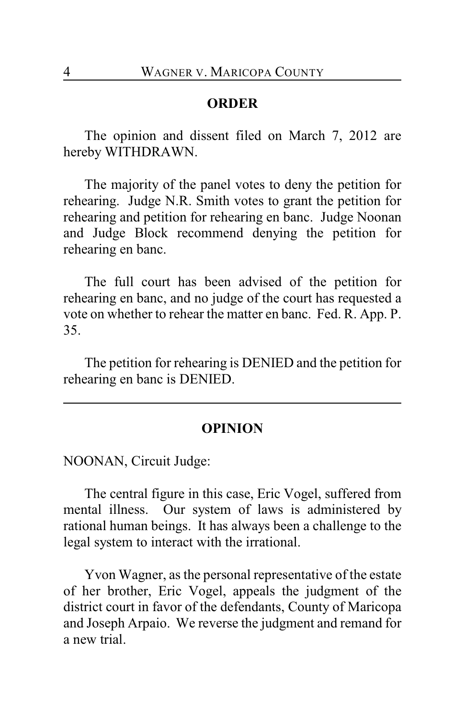#### **ORDER**

The opinion and dissent filed on March 7, 2012 are hereby WITHDRAWN.

The majority of the panel votes to deny the petition for rehearing. Judge N.R. Smith votes to grant the petition for rehearing and petition for rehearing en banc. Judge Noonan and Judge Block recommend denying the petition for rehearing en banc.

The full court has been advised of the petition for rehearing en banc, and no judge of the court has requested a vote on whether to rehear the matter en banc. Fed. R. App. P. 35.

The petition for rehearing is DENIED and the petition for rehearing en banc is DENIED.

## **OPINION**

NOONAN, Circuit Judge:

The central figure in this case, Eric Vogel, suffered from mental illness. Our system of laws is administered by rational human beings. It has always been a challenge to the legal system to interact with the irrational.

Yvon Wagner, as the personal representative of the estate of her brother, Eric Vogel, appeals the judgment of the district court in favor of the defendants, County of Maricopa and Joseph Arpaio. We reverse the judgment and remand for a new trial.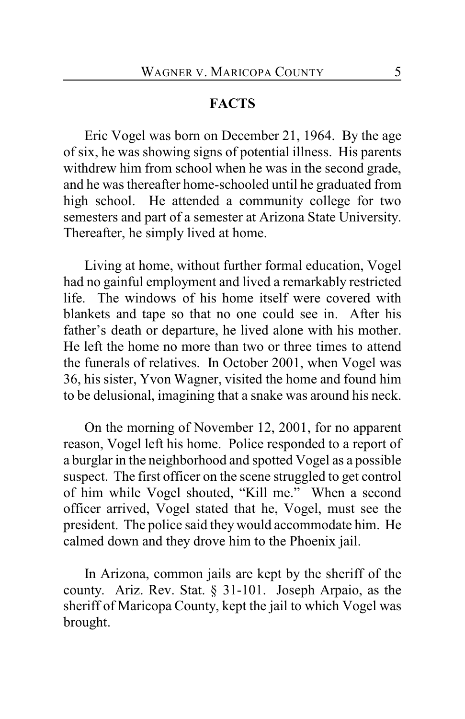### **FACTS**

Eric Vogel was born on December 21, 1964. By the age of six, he was showing signs of potential illness. His parents withdrew him from school when he was in the second grade, and he was thereafter home-schooled until he graduated from high school. He attended a community college for two semesters and part of a semester at Arizona State University. Thereafter, he simply lived at home.

Living at home, without further formal education, Vogel had no gainful employment and lived a remarkably restricted life. The windows of his home itself were covered with blankets and tape so that no one could see in. After his father's death or departure, he lived alone with his mother. He left the home no more than two or three times to attend the funerals of relatives. In October 2001, when Vogel was 36, his sister, Yvon Wagner, visited the home and found him to be delusional, imagining that a snake was around his neck.

On the morning of November 12, 2001, for no apparent reason, Vogel left his home. Police responded to a report of a burglar in the neighborhood and spotted Vogel as a possible suspect. The first officer on the scene struggled to get control of him while Vogel shouted, "Kill me." When a second officer arrived, Vogel stated that he, Vogel, must see the president. The police said they would accommodate him. He calmed down and they drove him to the Phoenix jail.

In Arizona, common jails are kept by the sheriff of the county. Ariz. Rev. Stat. § 31-101. Joseph Arpaio, as the sheriff of Maricopa County, kept the jail to which Vogel was brought.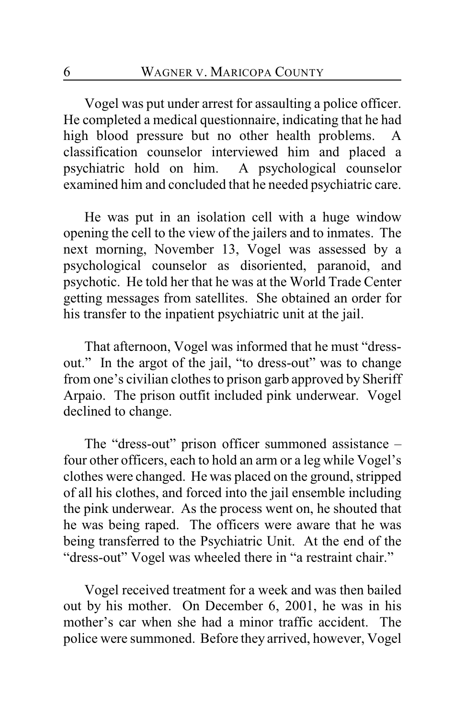Vogel was put under arrest for assaulting a police officer. He completed a medical questionnaire, indicating that he had high blood pressure but no other health problems. A classification counselor interviewed him and placed a psychiatric hold on him. A psychological counselor examined him and concluded that he needed psychiatric care.

He was put in an isolation cell with a huge window opening the cell to the view of the jailers and to inmates. The next morning, November 13, Vogel was assessed by a psychological counselor as disoriented, paranoid, and psychotic. He told her that he was at the World Trade Center getting messages from satellites. She obtained an order for his transfer to the inpatient psychiatric unit at the jail.

That afternoon, Vogel was informed that he must "dressout." In the argot of the jail, "to dress-out" was to change from one's civilian clothes to prison garb approved by Sheriff Arpaio. The prison outfit included pink underwear. Vogel declined to change.

The "dress-out" prison officer summoned assistance – four other officers, each to hold an arm or a leg while Vogel's clothes were changed. He was placed on the ground, stripped of all his clothes, and forced into the jail ensemble including the pink underwear. As the process went on, he shouted that he was being raped. The officers were aware that he was being transferred to the Psychiatric Unit. At the end of the "dress-out" Vogel was wheeled there in "a restraint chair."

Vogel received treatment for a week and was then bailed out by his mother. On December 6, 2001, he was in his mother's car when she had a minor traffic accident. The police were summoned. Before they arrived, however, Vogel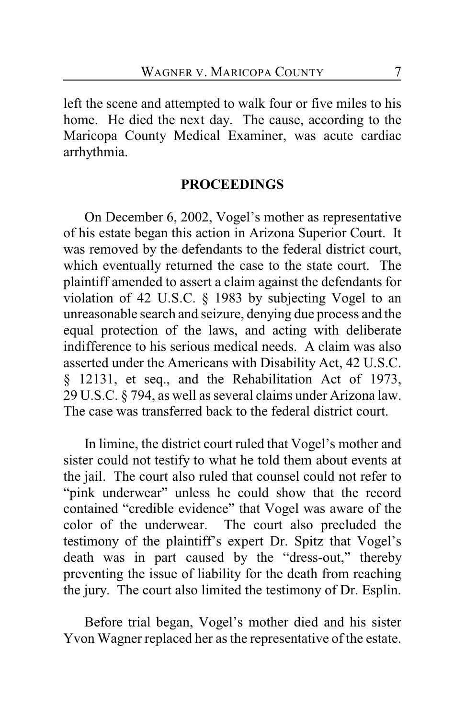left the scene and attempted to walk four or five miles to his home. He died the next day. The cause, according to the Maricopa County Medical Examiner, was acute cardiac arrhythmia.

## **PROCEEDINGS**

On December 6, 2002, Vogel's mother as representative of his estate began this action in Arizona Superior Court. It was removed by the defendants to the federal district court, which eventually returned the case to the state court. The plaintiff amended to assert a claim against the defendants for violation of 42 U.S.C. § 1983 by subjecting Vogel to an unreasonable search and seizure, denying due process and the equal protection of the laws, and acting with deliberate indifference to his serious medical needs. A claim was also asserted under the Americans with Disability Act, 42 U.S.C. § 12131, et seq., and the Rehabilitation Act of 1973, 29 U.S.C. § 794, as well as several claims under Arizona law. The case was transferred back to the federal district court.

In limine, the district court ruled that Vogel's mother and sister could not testify to what he told them about events at the jail. The court also ruled that counsel could not refer to "pink underwear" unless he could show that the record contained "credible evidence" that Vogel was aware of the color of the underwear. The court also precluded the testimony of the plaintiff's expert Dr. Spitz that Vogel's death was in part caused by the "dress-out," thereby preventing the issue of liability for the death from reaching the jury. The court also limited the testimony of Dr. Esplin.

Before trial began, Vogel's mother died and his sister Yvon Wagner replaced her as the representative of the estate.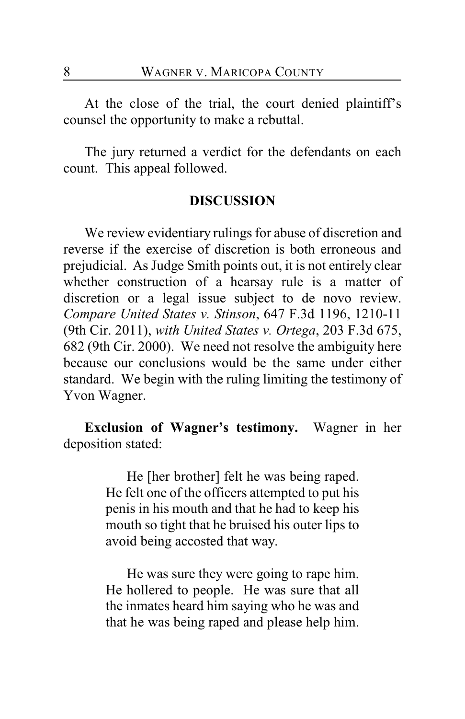At the close of the trial, the court denied plaintiff's counsel the opportunity to make a rebuttal.

The jury returned a verdict for the defendants on each count. This appeal followed.

### **DISCUSSION**

We review evidentiary rulings for abuse of discretion and reverse if the exercise of discretion is both erroneous and prejudicial. As Judge Smith points out, it is not entirely clear whether construction of a hearsay rule is a matter of discretion or a legal issue subject to de novo review. *Compare United States v. Stinson*, 647 F.3d 1196, 1210-11 (9th Cir. 2011), *with United States v. Ortega*, 203 F.3d 675, 682 (9th Cir. 2000). We need not resolve the ambiguity here because our conclusions would be the same under either standard. We begin with the ruling limiting the testimony of Yvon Wagner.

**Exclusion of Wagner's testimony.** Wagner in her deposition stated:

> He [her brother] felt he was being raped. He felt one of the officers attempted to put his penis in his mouth and that he had to keep his mouth so tight that he bruised his outer lips to avoid being accosted that way.

> He was sure they were going to rape him. He hollered to people. He was sure that all the inmates heard him saying who he was and that he was being raped and please help him.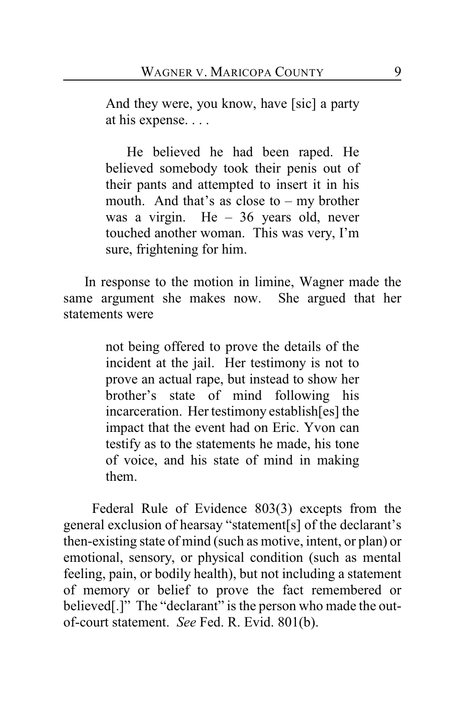And they were, you know, have [sic] a party at his expense. . . .

He believed he had been raped. He believed somebody took their penis out of their pants and attempted to insert it in his mouth. And that's as close to – my brother was a virgin. He – 36 years old, never touched another woman. This was very, I'm sure, frightening for him.

In response to the motion in limine, Wagner made the same argument she makes now. She argued that her statements were

> not being offered to prove the details of the incident at the jail. Her testimony is not to prove an actual rape, but instead to show her brother's state of mind following his incarceration. Her testimony establish[es] the impact that the event had on Eric. Yvon can testify as to the statements he made, his tone of voice, and his state of mind in making them.

 Federal Rule of Evidence 803(3) excepts from the general exclusion of hearsay "statement[s] of the declarant's then-existing state of mind (such as motive, intent, or plan) or emotional, sensory, or physical condition (such as mental feeling, pain, or bodily health), but not including a statement of memory or belief to prove the fact remembered or believed[.]" The "declarant" is the person who made the outof-court statement. *See* Fed. R. Evid. 801(b).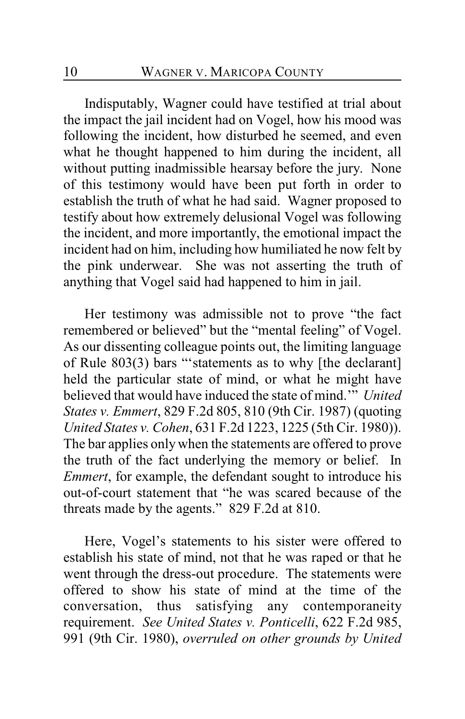Indisputably, Wagner could have testified at trial about the impact the jail incident had on Vogel, how his mood was following the incident, how disturbed he seemed, and even what he thought happened to him during the incident, all without putting inadmissible hearsay before the jury. None of this testimony would have been put forth in order to establish the truth of what he had said. Wagner proposed to testify about how extremely delusional Vogel was following the incident, and more importantly, the emotional impact the incident had on him, including how humiliated he now felt by the pink underwear. She was not asserting the truth of anything that Vogel said had happened to him in jail.

Her testimony was admissible not to prove "the fact remembered or believed" but the "mental feeling" of Vogel. As our dissenting colleague points out, the limiting language of Rule 803(3) bars "'statements as to why [the declarant] held the particular state of mind, or what he might have believed that would have induced the state of mind.'" *United States v. Emmert*, 829 F.2d 805, 810 (9th Cir. 1987) (quoting *United States v. Cohen*, 631 F.2d 1223, 1225 (5th Cir. 1980)). The bar applies only when the statements are offered to prove the truth of the fact underlying the memory or belief. In *Emmert*, for example, the defendant sought to introduce his out-of-court statement that "he was scared because of the threats made by the agents." 829 F.2d at 810.

Here, Vogel's statements to his sister were offered to establish his state of mind, not that he was raped or that he went through the dress-out procedure. The statements were offered to show his state of mind at the time of the conversation, thus satisfying any contemporaneity requirement. *See United States v. Ponticelli*, 622 F.2d 985, 991 (9th Cir. 1980), *overruled on other grounds by United*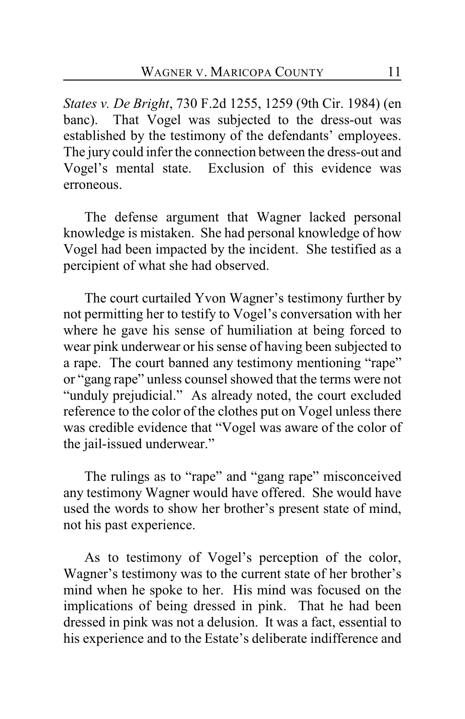*States v. De Bright*, 730 F.2d 1255, 1259 (9th Cir. 1984) (en banc). That Vogel was subjected to the dress-out was established by the testimony of the defendants' employees. The jury could infer the connection between the dress-out and Vogel's mental state. Exclusion of this evidence was erroneous.

The defense argument that Wagner lacked personal knowledge is mistaken. She had personal knowledge of how Vogel had been impacted by the incident. She testified as a percipient of what she had observed.

The court curtailed Yvon Wagner's testimony further by not permitting her to testify to Vogel's conversation with her where he gave his sense of humiliation at being forced to wear pink underwear or his sense of having been subjected to a rape. The court banned any testimony mentioning "rape" or "gang rape" unless counsel showed that the terms were not "unduly prejudicial." As already noted, the court excluded reference to the color of the clothes put on Vogel unless there was credible evidence that "Vogel was aware of the color of the jail-issued underwear."

The rulings as to "rape" and "gang rape" misconceived any testimony Wagner would have offered. She would have used the words to show her brother's present state of mind, not his past experience.

As to testimony of Vogel's perception of the color, Wagner's testimony was to the current state of her brother's mind when he spoke to her. His mind was focused on the implications of being dressed in pink. That he had been dressed in pink was not a delusion. It was a fact, essential to his experience and to the Estate's deliberate indifference and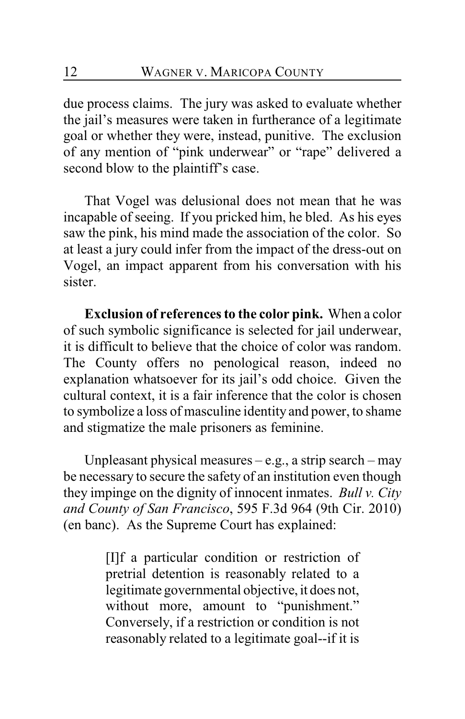due process claims. The jury was asked to evaluate whether the jail's measures were taken in furtherance of a legitimate goal or whether they were, instead, punitive. The exclusion of any mention of "pink underwear" or "rape" delivered a second blow to the plaintiff's case.

That Vogel was delusional does not mean that he was incapable of seeing. If you pricked him, he bled. As his eyes saw the pink, his mind made the association of the color. So at least a jury could infer from the impact of the dress-out on Vogel, an impact apparent from his conversation with his sister.

**Exclusion of references to the color pink.** When a color of such symbolic significance is selected for jail underwear, it is difficult to believe that the choice of color was random. The County offers no penological reason, indeed no explanation whatsoever for its jail's odd choice. Given the cultural context, it is a fair inference that the color is chosen to symbolize a loss of masculine identity and power, to shame and stigmatize the male prisoners as feminine.

Unpleasant physical measures  $-e.g.,$  a strip search – may be necessary to secure the safety of an institution even though they impinge on the dignity of innocent inmates. *Bull v. City and County of San Francisco*, 595 F.3d 964 (9th Cir. 2010) (en banc). As the Supreme Court has explained:

> [I]f a particular condition or restriction of pretrial detention is reasonably related to a legitimate governmental objective, it does not, without more, amount to "punishment." Conversely, if a restriction or condition is not reasonably related to a legitimate goal--if it is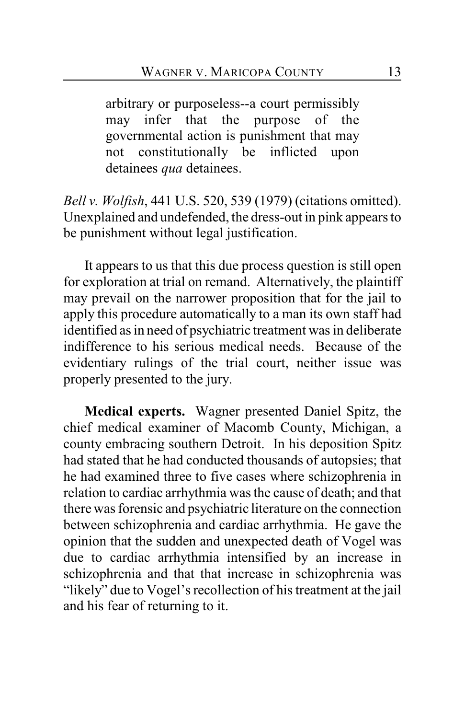arbitrary or purposeless--a court permissibly may infer that the purpose of the governmental action is punishment that may not constitutionally be inflicted upon detainees *qua* detainees.

*Bell v. Wolfish*, 441 U.S. 520, 539 (1979) (citations omitted). Unexplained and undefended, the dress-out in pink appears to be punishment without legal justification.

It appears to us that this due process question is still open for exploration at trial on remand. Alternatively, the plaintiff may prevail on the narrower proposition that for the jail to apply this procedure automatically to a man its own staff had identified as in need of psychiatric treatment was in deliberate indifference to his serious medical needs. Because of the evidentiary rulings of the trial court, neither issue was properly presented to the jury.

**Medical experts.** Wagner presented Daniel Spitz, the chief medical examiner of Macomb County, Michigan, a county embracing southern Detroit. In his deposition Spitz had stated that he had conducted thousands of autopsies; that he had examined three to five cases where schizophrenia in relation to cardiac arrhythmia was the cause of death; and that there was forensic and psychiatric literature on the connection between schizophrenia and cardiac arrhythmia. He gave the opinion that the sudden and unexpected death of Vogel was due to cardiac arrhythmia intensified by an increase in schizophrenia and that that increase in schizophrenia was "likely" due to Vogel's recollection of his treatment at the jail and his fear of returning to it.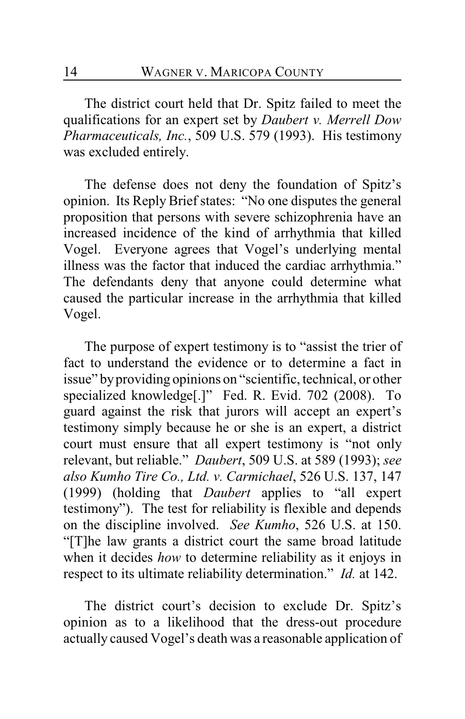The district court held that Dr. Spitz failed to meet the qualifications for an expert set by *Daubert v. Merrell Dow Pharmaceuticals, Inc.*, 509 U.S. 579 (1993). His testimony was excluded entirely.

The defense does not deny the foundation of Spitz's opinion. Its Reply Brief states: "No one disputes the general proposition that persons with severe schizophrenia have an increased incidence of the kind of arrhythmia that killed Vogel. Everyone agrees that Vogel's underlying mental illness was the factor that induced the cardiac arrhythmia." The defendants deny that anyone could determine what caused the particular increase in the arrhythmia that killed Vogel.

The purpose of expert testimony is to "assist the trier of fact to understand the evidence or to determine a fact in issue" by providing opinions on "scientific, technical, or other specialized knowledge<sup>[.]"</sup> Fed. R. Evid. 702 (2008). To guard against the risk that jurors will accept an expert's testimony simply because he or she is an expert, a district court must ensure that all expert testimony is "not only relevant, but reliable." *Daubert*, 509 U.S. at 589 (1993); *see also Kumho Tire Co., Ltd. v. Carmichael*, 526 U.S. 137, 147 (1999) (holding that *Daubert* applies to "all expert testimony"). The test for reliability is flexible and depends on the discipline involved. *See Kumho*, 526 U.S. at 150. "[T]he law grants a district court the same broad latitude when it decides *how* to determine reliability as it enjoys in respect to its ultimate reliability determination." *Id.* at 142.

The district court's decision to exclude Dr. Spitz's opinion as to a likelihood that the dress-out procedure actually caused Vogel's death was a reasonable application of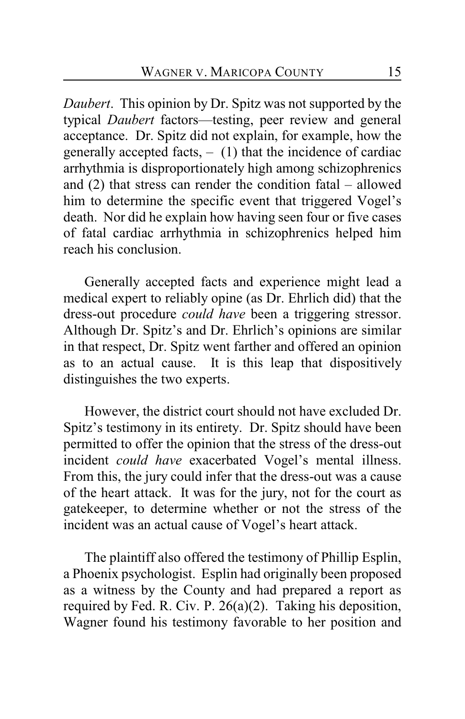*Daubert*. This opinion by Dr. Spitz was not supported by the typical *Daubert* factors—testing, peer review and general acceptance. Dr. Spitz did not explain, for example, how the generally accepted facts,  $-$  (1) that the incidence of cardiac arrhythmia is disproportionately high among schizophrenics and (2) that stress can render the condition fatal – allowed him to determine the specific event that triggered Vogel's death. Nor did he explain how having seen four or five cases of fatal cardiac arrhythmia in schizophrenics helped him reach his conclusion.

Generally accepted facts and experience might lead a medical expert to reliably opine (as Dr. Ehrlich did) that the dress-out procedure *could have* been a triggering stressor. Although Dr. Spitz's and Dr. Ehrlich's opinions are similar in that respect, Dr. Spitz went farther and offered an opinion as to an actual cause. It is this leap that dispositively distinguishes the two experts.

However, the district court should not have excluded Dr. Spitz's testimony in its entirety. Dr. Spitz should have been permitted to offer the opinion that the stress of the dress-out incident *could have* exacerbated Vogel's mental illness. From this, the jury could infer that the dress-out was a cause of the heart attack. It was for the jury, not for the court as gatekeeper, to determine whether or not the stress of the incident was an actual cause of Vogel's heart attack.

The plaintiff also offered the testimony of Phillip Esplin, a Phoenix psychologist. Esplin had originally been proposed as a witness by the County and had prepared a report as required by Fed. R. Civ. P. 26(a)(2). Taking his deposition, Wagner found his testimony favorable to her position and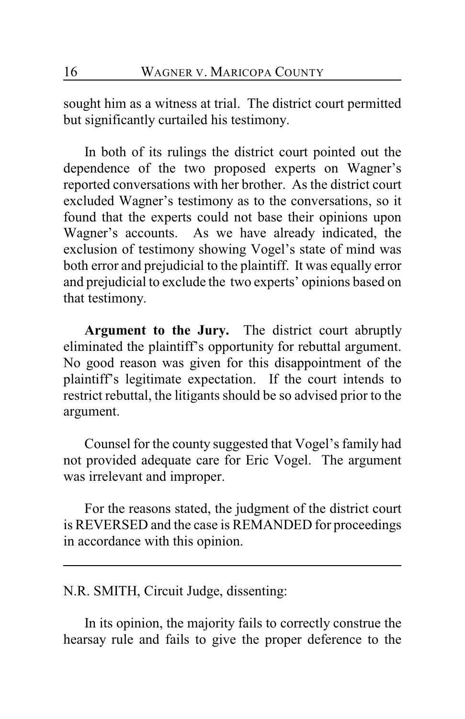sought him as a witness at trial. The district court permitted but significantly curtailed his testimony.

In both of its rulings the district court pointed out the dependence of the two proposed experts on Wagner's reported conversations with her brother. As the district court excluded Wagner's testimony as to the conversations, so it found that the experts could not base their opinions upon Wagner's accounts. As we have already indicated, the exclusion of testimony showing Vogel's state of mind was both error and prejudicial to the plaintiff. It was equally error and prejudicial to exclude the two experts' opinions based on that testimony.

**Argument to the Jury.** The district court abruptly eliminated the plaintiff's opportunity for rebuttal argument. No good reason was given for this disappointment of the plaintiff's legitimate expectation. If the court intends to restrict rebuttal, the litigants should be so advised prior to the argument.

Counsel for the county suggested that Vogel's family had not provided adequate care for Eric Vogel. The argument was irrelevant and improper.

For the reasons stated, the judgment of the district court is REVERSED and the case is REMANDED for proceedings in accordance with this opinion.

N.R. SMITH, Circuit Judge, dissenting:

In its opinion, the majority fails to correctly construe the hearsay rule and fails to give the proper deference to the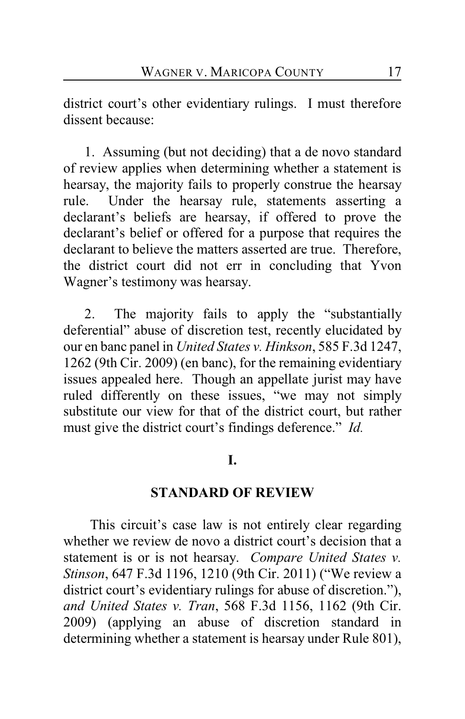district court's other evidentiary rulings. I must therefore dissent because:

1. Assuming (but not deciding) that a de novo standard of review applies when determining whether a statement is hearsay, the majority fails to properly construe the hearsay rule. Under the hearsay rule, statements asserting a declarant's beliefs are hearsay, if offered to prove the declarant's belief or offered for a purpose that requires the declarant to believe the matters asserted are true. Therefore, the district court did not err in concluding that Yvon Wagner's testimony was hearsay.

2. The majority fails to apply the "substantially deferential" abuse of discretion test, recently elucidated by our en banc panel in *United States v. Hinkson*, 585 F.3d 1247, 1262 (9th Cir. 2009) (en banc), for the remaining evidentiary issues appealed here. Though an appellate jurist may have ruled differently on these issues, "we may not simply substitute our view for that of the district court, but rather must give the district court's findings deference." *Id.* 

### **I.**

#### **STANDARD OF REVIEW**

 This circuit's case law is not entirely clear regarding whether we review de novo a district court's decision that a statement is or is not hearsay. *Compare United States v. Stinson*, 647 F.3d 1196, 1210 (9th Cir. 2011) ("We review a district court's evidentiary rulings for abuse of discretion."), *and United States v. Tran*, 568 F.3d 1156, 1162 (9th Cir. 2009) (applying an abuse of discretion standard in determining whether a statement is hearsay under Rule 801),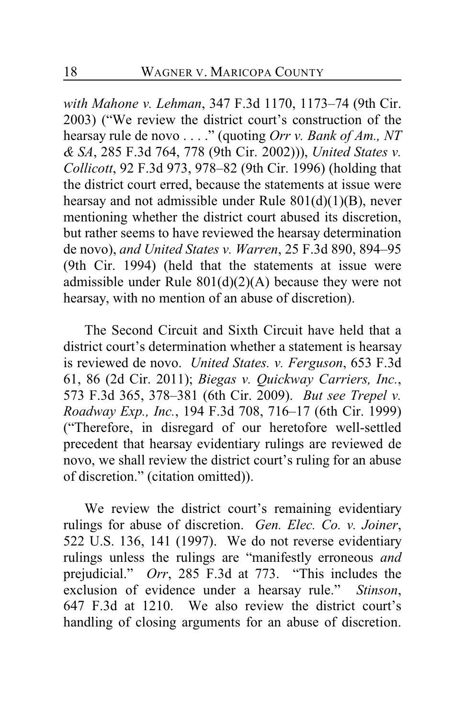*with Mahone v. Lehman*, 347 F.3d 1170, 1173–74 (9th Cir. 2003) ("We review the district court's construction of the hearsay rule de novo . . . ." (quoting *Orr v. Bank of Am., NT & SA*, 285 F.3d 764, 778 (9th Cir. 2002))), *United States v. Collicott*, 92 F.3d 973, 978–82 (9th Cir. 1996) (holding that the district court erred, because the statements at issue were hearsay and not admissible under Rule 801(d)(1)(B), never mentioning whether the district court abused its discretion, but rather seems to have reviewed the hearsay determination de novo), *and United States v. Warren*, 25 F.3d 890, 894–95 (9th Cir. 1994) (held that the statements at issue were admissible under Rule  $801(d)(2)(A)$  because they were not hearsay, with no mention of an abuse of discretion).

The Second Circuit and Sixth Circuit have held that a district court's determination whether a statement is hearsay is reviewed de novo. *United States. v. Ferguson*, 653 F.3d 61, 86 (2d Cir. 2011); *Biegas v. Quickway Carriers, Inc.*, 573 F.3d 365, 378–381 (6th Cir. 2009). *But see Trepel v. Roadway Exp., Inc.*, 194 F.3d 708, 716–17 (6th Cir. 1999) ("Therefore, in disregard of our heretofore well-settled precedent that hearsay evidentiary rulings are reviewed de novo, we shall review the district court's ruling for an abuse of discretion." (citation omitted)).

We review the district court's remaining evidentiary rulings for abuse of discretion. *Gen. Elec. Co. v. Joiner*, 522 U.S. 136, 141 (1997). We do not reverse evidentiary rulings unless the rulings are "manifestly erroneous *and* prejudicial." *Orr*, 285 F.3d at 773. "This includes the exclusion of evidence under a hearsay rule." *Stinson*, 647 F.3d at 1210. We also review the district court's handling of closing arguments for an abuse of discretion.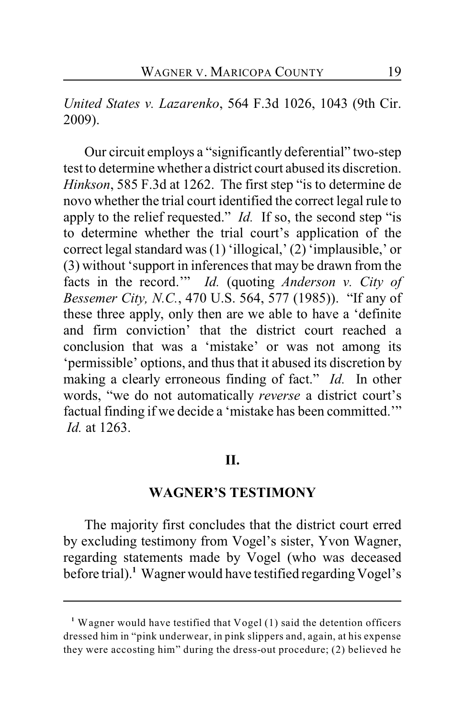### *United States v. Lazarenko*, 564 F.3d 1026, 1043 (9th Cir. 2009).

Our circuit employs a "significantly deferential" two-step test to determine whether a district court abused its discretion. *Hinkson*, 585 F.3d at 1262. The first step "is to determine de novo whether the trial court identified the correct legal rule to apply to the relief requested." *Id.* If so, the second step "is to determine whether the trial court's application of the correct legal standard was (1) 'illogical,' (2) 'implausible,' or (3) without 'support in inferences that may be drawn from the facts in the record.'" *Id.* (quoting *Anderson v. City of Bessemer City, N.C.*, 470 U.S. 564, 577 (1985)). "If any of these three apply, only then are we able to have a 'definite and firm conviction' that the district court reached a conclusion that was a 'mistake' or was not among its 'permissible' options, and thus that it abused its discretion by making a clearly erroneous finding of fact." *Id.* In other words, "we do not automatically *reverse* a district court's factual finding if we decide a 'mistake has been committed.'"  *Id.* at 1263.

#### **II.**

#### **WAGNER'S TESTIMONY**

The majority first concludes that the district court erred by excluding testimony from Vogel's sister, Yvon Wagner, regarding statements made by Vogel (who was deceased before trial).<sup>1</sup> Wagner would have testified regarding Vogel's

<sup>&</sup>lt;sup>1</sup> Wagner would have testified that Vogel (1) said the detention officers dressed him in "pink underwear, in pink slippers and, again, at his expense they were accosting him" during the dress-out procedure; (2) believed he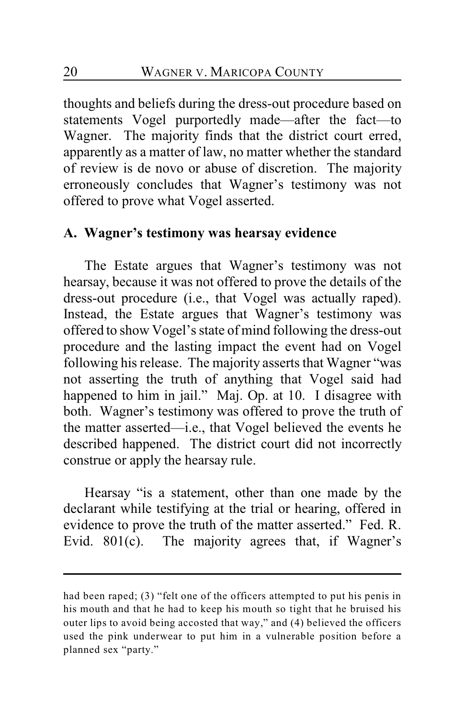thoughts and beliefs during the dress-out procedure based on statements Vogel purportedly made—after the fact—to Wagner. The majority finds that the district court erred, apparently as a matter of law, no matter whether the standard of review is de novo or abuse of discretion. The majority erroneously concludes that Wagner's testimony was not offered to prove what Vogel asserted.

### **A. Wagner's testimony was hearsay evidence**

The Estate argues that Wagner's testimony was not hearsay, because it was not offered to prove the details of the dress-out procedure (i.e., that Vogel was actually raped). Instead, the Estate argues that Wagner's testimony was offered to show Vogel's state of mind following the dress-out procedure and the lasting impact the event had on Vogel following his release. The majority asserts that Wagner "was not asserting the truth of anything that Vogel said had happened to him in jail." Maj. Op. at 10. I disagree with both. Wagner's testimony was offered to prove the truth of the matter asserted—i.e., that Vogel believed the events he described happened. The district court did not incorrectly construe or apply the hearsay rule.

Hearsay "is a statement, other than one made by the declarant while testifying at the trial or hearing, offered in evidence to prove the truth of the matter asserted." Fed. R. Evid. 801(c). The majority agrees that, if Wagner's

had been raped; (3) "felt one of the officers attempted to put his penis in his mouth and that he had to keep his mouth so tight that he bruised his outer lips to avoid being accosted that way," and (4) believed the officers used the pink underwear to put him in a vulnerable position before a planned sex "party."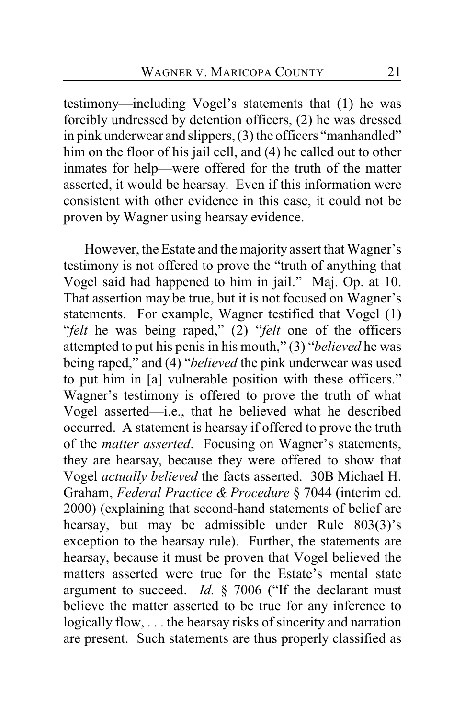testimony—including Vogel's statements that (1) he was forcibly undressed by detention officers, (2) he was dressed in pink underwear and slippers, (3) the officers "manhandled" him on the floor of his jail cell, and (4) he called out to other inmates for help—were offered for the truth of the matter asserted, it would be hearsay. Even if this information were consistent with other evidence in this case, it could not be proven by Wagner using hearsay evidence.

However, the Estate and the majority assert that Wagner's testimony is not offered to prove the "truth of anything that Vogel said had happened to him in jail." Maj. Op. at 10. That assertion may be true, but it is not focused on Wagner's statements. For example, Wagner testified that Vogel (1) "*felt* he was being raped," (2) "*felt* one of the officers attempted to put his penis in his mouth," (3) "*believed* he was being raped," and (4) "*believed* the pink underwear was used to put him in [a] vulnerable position with these officers." Wagner's testimony is offered to prove the truth of what Vogel asserted—i.e., that he believed what he described occurred. A statement is hearsay if offered to prove the truth of the *matter asserted*. Focusing on Wagner's statements, they are hearsay, because they were offered to show that Vogel *actually believed* the facts asserted. 30B Michael H. Graham, *Federal Practice & Procedure* § 7044 (interim ed. 2000) (explaining that second-hand statements of belief are hearsay, but may be admissible under Rule 803(3)'s exception to the hearsay rule). Further, the statements are hearsay, because it must be proven that Vogel believed the matters asserted were true for the Estate's mental state argument to succeed. *Id.* § 7006 ("If the declarant must believe the matter asserted to be true for any inference to logically flow, . . . the hearsay risks of sincerity and narration are present. Such statements are thus properly classified as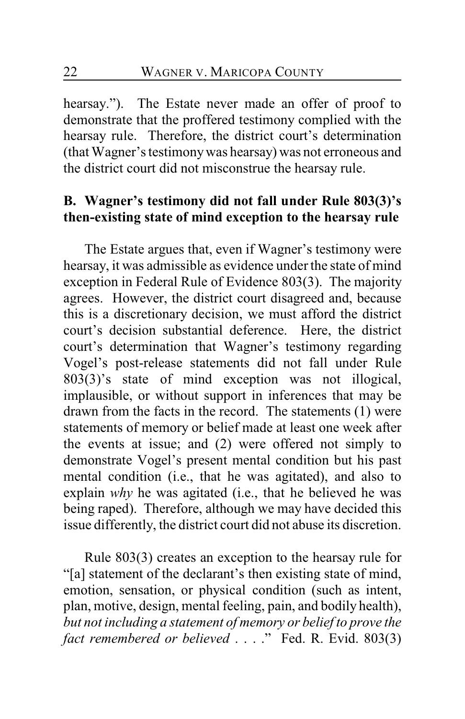hearsay."). The Estate never made an offer of proof to demonstrate that the proffered testimony complied with the hearsay rule. Therefore, the district court's determination (that Wagner's testimony was hearsay) was not erroneous and the district court did not misconstrue the hearsay rule.

# **B. Wagner's testimony did not fall under Rule 803(3)'s then-existing state of mind exception to the hearsay rule**

The Estate argues that, even if Wagner's testimony were hearsay, it was admissible as evidence under the state of mind exception in Federal Rule of Evidence 803(3). The majority agrees. However, the district court disagreed and, because this is a discretionary decision, we must afford the district court's decision substantial deference. Here, the district court's determination that Wagner's testimony regarding Vogel's post-release statements did not fall under Rule  $803(3)$ 's state of mind exception was not illogical, implausible, or without support in inferences that may be drawn from the facts in the record. The statements (1) were statements of memory or belief made at least one week after the events at issue; and (2) were offered not simply to demonstrate Vogel's present mental condition but his past mental condition (i.e., that he was agitated), and also to explain *why* he was agitated (i.e., that he believed he was being raped). Therefore, although we may have decided this issue differently, the district court did not abuse its discretion.

Rule 803(3) creates an exception to the hearsay rule for "[a] statement of the declarant's then existing state of mind, emotion, sensation, or physical condition (such as intent, plan, motive, design, mental feeling, pain, and bodily health), *but not including a statement of memory or belief to prove the fact remembered or believed* . . . ." Fed. R. Evid. 803(3)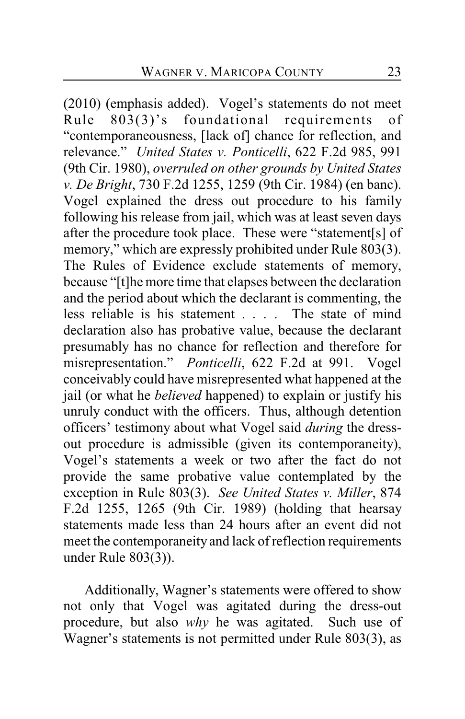(2010) (emphasis added). Vogel's statements do not meet Rule 803(3)'s foundational requirements of "contemporaneousness, [lack of] chance for reflection, and relevance." *United States v. Ponticelli*, 622 F.2d 985, 991 (9th Cir. 1980), *overruled on other grounds by United States v. De Bright*, 730 F.2d 1255, 1259 (9th Cir. 1984) (en banc). Vogel explained the dress out procedure to his family following his release from jail, which was at least seven days after the procedure took place. These were "statement[s] of memory," which are expressly prohibited under Rule 803(3). The Rules of Evidence exclude statements of memory, because "[t]he more time that elapses between the declaration and the period about which the declarant is commenting, the less reliable is his statement . . . . The state of mind declaration also has probative value, because the declarant presumably has no chance for reflection and therefore for misrepresentation." *Ponticelli*, 622 F.2d at 991. Vogel conceivably could have misrepresented what happened at the jail (or what he *believed* happened) to explain or justify his unruly conduct with the officers. Thus, although detention officers' testimony about what Vogel said *during* the dressout procedure is admissible (given its contemporaneity), Vogel's statements a week or two after the fact do not provide the same probative value contemplated by the exception in Rule 803(3). *See United States v. Miller*, 874 F.2d 1255, 1265 (9th Cir. 1989) (holding that hearsay statements made less than 24 hours after an event did not meet the contemporaneity and lack of reflection requirements under Rule 803(3)).

Additionally, Wagner's statements were offered to show not only that Vogel was agitated during the dress-out procedure, but also *why* he was agitated. Such use of Wagner's statements is not permitted under Rule 803(3), as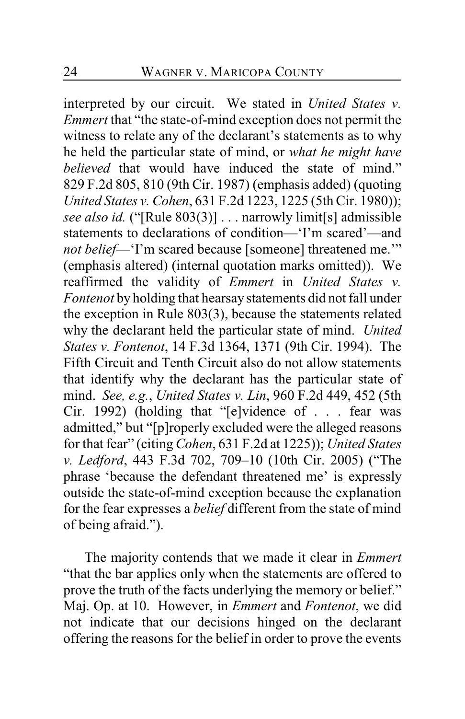interpreted by our circuit. We stated in *United States v. Emmert* that "the state-of-mind exception does not permit the witness to relate any of the declarant's statements as to why he held the particular state of mind, or *what he might have believed* that would have induced the state of mind." 829 F.2d 805, 810 (9th Cir. 1987) (emphasis added) (quoting *United States v. Cohen*, 631 F.2d 1223, 1225 (5th Cir. 1980)); *see also id.* ("[Rule 803(3)] . . . narrowly limit[s] admissible statements to declarations of condition—'I'm scared'—and *not belief*—'I'm scared because [someone] threatened me.'" (emphasis altered) (internal quotation marks omitted)). We reaffirmed the validity of *Emmert* in *United States v. Fontenot* by holding that hearsay statements did not fall under the exception in Rule 803(3), because the statements related why the declarant held the particular state of mind. *United States v. Fontenot*, 14 F.3d 1364, 1371 (9th Cir. 1994). The Fifth Circuit and Tenth Circuit also do not allow statements that identify why the declarant has the particular state of mind. *See, e.g.*, *United States v. Lin*, 960 F.2d 449, 452 (5th Cir. 1992) (holding that "[e]vidence of . . . fear was admitted," but "[p]roperly excluded were the alleged reasons for that fear" (citing *Cohen*, 631 F.2d at 1225)); *United States v. Ledford*, 443 F.3d 702, 709–10 (10th Cir. 2005) ("The phrase 'because the defendant threatened me' is expressly outside the state-of-mind exception because the explanation for the fear expresses a *belief* different from the state of mind of being afraid.").

The majority contends that we made it clear in *Emmert* "that the bar applies only when the statements are offered to prove the truth of the facts underlying the memory or belief." Maj. Op. at 10. However, in *Emmert* and *Fontenot*, we did not indicate that our decisions hinged on the declarant offering the reasons for the belief in order to prove the events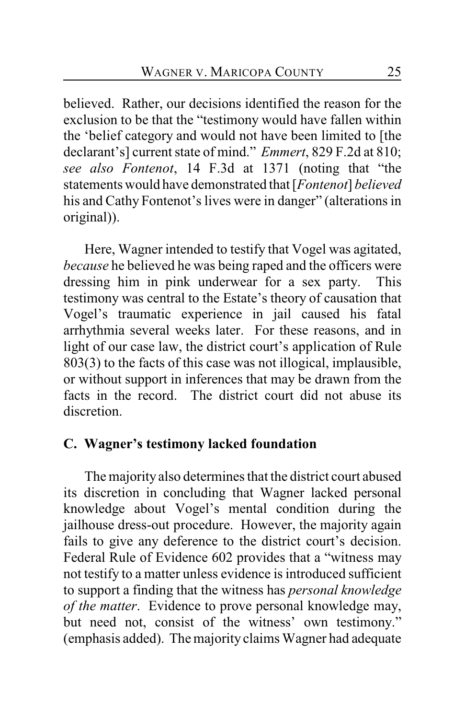believed. Rather, our decisions identified the reason for the exclusion to be that the "testimony would have fallen within the 'belief category and would not have been limited to [the declarant's] current state of mind." *Emmert*, 829 F.2d at 810; *see also Fontenot*, 14 F.3d at 1371 (noting that "the statements would have demonstrated that [*Fontenot*] *believed* his and Cathy Fontenot's lives were in danger" (alterations in original)).

Here, Wagner intended to testify that Vogel was agitated, *because* he believed he was being raped and the officers were dressing him in pink underwear for a sex party. This testimony was central to the Estate's theory of causation that Vogel's traumatic experience in jail caused his fatal arrhythmia several weeks later. For these reasons, and in light of our case law, the district court's application of Rule 803(3) to the facts of this case was not illogical, implausible, or without support in inferences that may be drawn from the facts in the record. The district court did not abuse its discretion.

## **C. Wagner's testimony lacked foundation**

The majority also determines that the district court abused its discretion in concluding that Wagner lacked personal knowledge about Vogel's mental condition during the jailhouse dress-out procedure. However, the majority again fails to give any deference to the district court's decision. Federal Rule of Evidence 602 provides that a "witness may not testify to a matter unless evidence is introduced sufficient to support a finding that the witness has *personal knowledge of the matter*. Evidence to prove personal knowledge may, but need not, consist of the witness' own testimony." (emphasis added). Themajorityclaims Wagner had adequate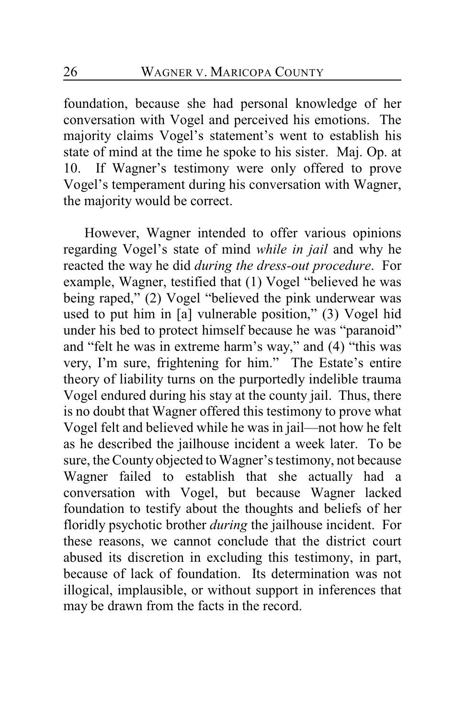foundation, because she had personal knowledge of her conversation with Vogel and perceived his emotions. The majority claims Vogel's statement's went to establish his state of mind at the time he spoke to his sister. Maj. Op. at 10. If Wagner's testimony were only offered to prove Vogel's temperament during his conversation with Wagner, the majority would be correct.

However, Wagner intended to offer various opinions regarding Vogel's state of mind *while in jail* and why he reacted the way he did *during the dress-out procedure*. For example, Wagner, testified that (1) Vogel "believed he was being raped," (2) Vogel "believed the pink underwear was used to put him in [a] vulnerable position," (3) Vogel hid under his bed to protect himself because he was "paranoid" and "felt he was in extreme harm's way," and (4) "this was very, I'm sure, frightening for him." The Estate's entire theory of liability turns on the purportedly indelible trauma Vogel endured during his stay at the county jail. Thus, there is no doubt that Wagner offered this testimony to prove what Vogel felt and believed while he was in jail—not how he felt as he described the jailhouse incident a week later. To be sure, the Countyobjected to Wagner's testimony, not because Wagner failed to establish that she actually had a conversation with Vogel, but because Wagner lacked foundation to testify about the thoughts and beliefs of her floridly psychotic brother *during* the jailhouse incident. For these reasons, we cannot conclude that the district court abused its discretion in excluding this testimony, in part, because of lack of foundation. Its determination was not illogical, implausible, or without support in inferences that may be drawn from the facts in the record.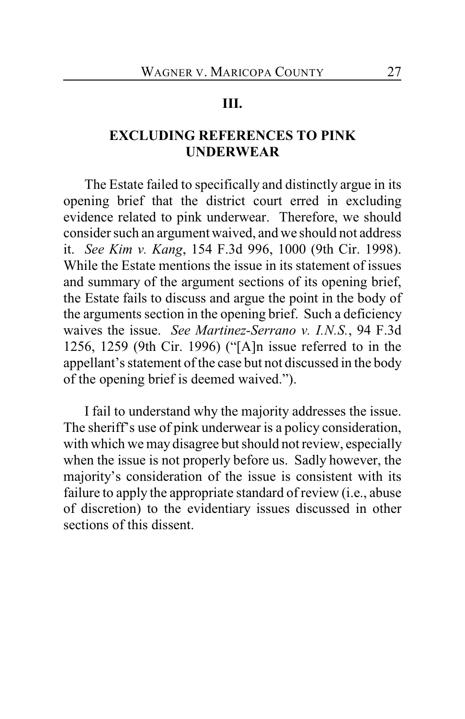#### **III.**

# **EXCLUDING REFERENCES TO PINK UNDERWEAR**

The Estate failed to specifically and distinctly argue in its opening brief that the district court erred in excluding evidence related to pink underwear. Therefore, we should consider such an argument waived, and we should not address it. *See Kim v. Kang*, 154 F.3d 996, 1000 (9th Cir. 1998). While the Estate mentions the issue in its statement of issues and summary of the argument sections of its opening brief, the Estate fails to discuss and argue the point in the body of the arguments section in the opening brief. Such a deficiency waives the issue. *See Martinez-Serrano v. I.N.S.*, 94 F.3d 1256, 1259 (9th Cir. 1996) ("[A]n issue referred to in the appellant's statement of the case but not discussed in the body of the opening brief is deemed waived.").

I fail to understand why the majority addresses the issue. The sheriff's use of pink underwear is a policy consideration, with which we may disagree but should not review, especially when the issue is not properly before us. Sadly however, the majority's consideration of the issue is consistent with its failure to apply the appropriate standard of review (i.e., abuse of discretion) to the evidentiary issues discussed in other sections of this dissent.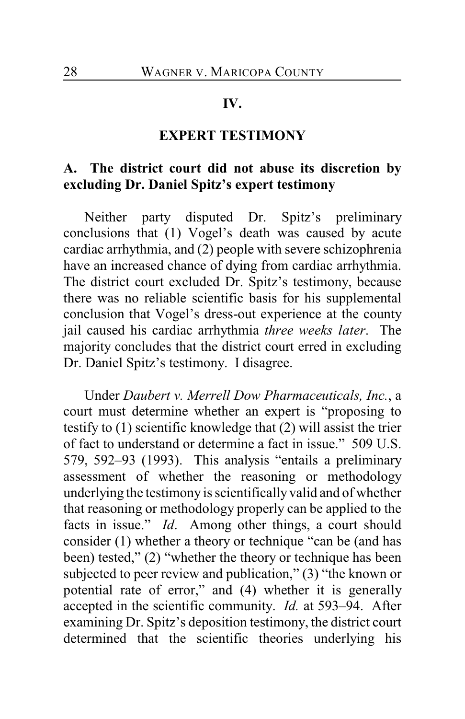#### **IV.**

## **EXPERT TESTIMONY**

# **A. The district court did not abuse its discretion by excluding Dr. Daniel Spitz's expert testimony**

Neither party disputed Dr. Spitz's preliminary conclusions that (1) Vogel's death was caused by acute cardiac arrhythmia, and (2) people with severe schizophrenia have an increased chance of dying from cardiac arrhythmia. The district court excluded Dr. Spitz's testimony, because there was no reliable scientific basis for his supplemental conclusion that Vogel's dress-out experience at the county jail caused his cardiac arrhythmia *three weeks later*. The majority concludes that the district court erred in excluding Dr. Daniel Spitz's testimony. I disagree.

Under *Daubert v. Merrell Dow Pharmaceuticals, Inc.*, a court must determine whether an expert is "proposing to testify to (1) scientific knowledge that (2) will assist the trier of fact to understand or determine a fact in issue." 509 U.S. 579, 592–93 (1993). This analysis "entails a preliminary assessment of whether the reasoning or methodology underlying the testimony is scientifically valid and of whether that reasoning or methodology properly can be applied to the facts in issue." *Id*. Among other things, a court should consider (1) whether a theory or technique "can be (and has been) tested," (2) "whether the theory or technique has been subjected to peer review and publication," (3) "the known or potential rate of error," and (4) whether it is generally accepted in the scientific community. *Id.* at 593–94. After examining Dr. Spitz's deposition testimony, the district court determined that the scientific theories underlying his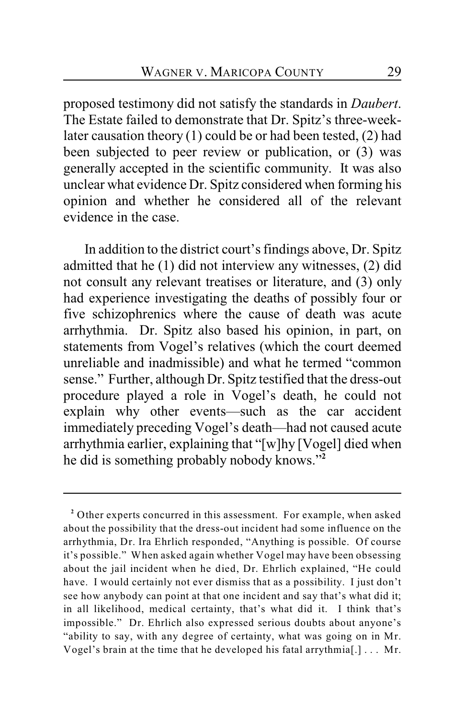proposed testimony did not satisfy the standards in *Daubert*. The Estate failed to demonstrate that Dr. Spitz's three-weeklater causation theory (1) could be or had been tested, (2) had been subjected to peer review or publication, or (3) was generally accepted in the scientific community. It was also unclear what evidence Dr. Spitz considered when forming his opinion and whether he considered all of the relevant evidence in the case.

In addition to the district court's findings above, Dr. Spitz admitted that he (1) did not interview any witnesses, (2) did not consult any relevant treatises or literature, and (3) only had experience investigating the deaths of possibly four or five schizophrenics where the cause of death was acute arrhythmia. Dr. Spitz also based his opinion, in part, on statements from Vogel's relatives (which the court deemed unreliable and inadmissible) and what he termed "common sense." Further, although Dr. Spitz testified that the dress-out procedure played a role in Vogel's death, he could not explain why other events—such as the car accident immediately preceding Vogel's death—had not caused acute arrhythmia earlier, explaining that "[w]hy [Vogel] died when he did is something probably nobody knows."**2**

Other experts concurred in this assessment. For example, when asked **<sup>2</sup>** about the possibility that the dress-out incident had some influence on the arrhythmia, Dr. Ira Ehrlich responded, "Anything is possible. Of course it's possible." When asked again whether Vogel may have been obsessing about the jail incident when he died, Dr. Ehrlich explained, "He could have. I would certainly not ever dismiss that as a possibility. I just don't see how anybody can point at that one incident and say that's what did it; in all likelihood, medical certainty, that's what did it. I think that's impossible." Dr. Ehrlich also expressed serious doubts about anyone's "ability to say, with any degree of certainty, what was going on in Mr. Vogel's brain at the time that he developed his fatal arrythmia[.] . . . Mr.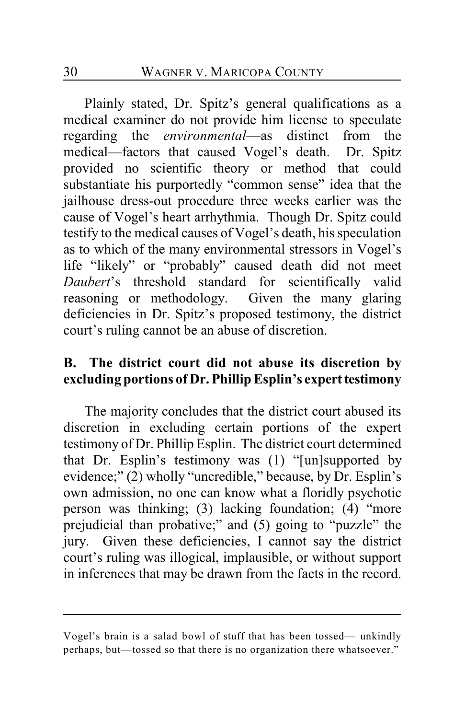Plainly stated, Dr. Spitz's general qualifications as a medical examiner do not provide him license to speculate regarding the *environmental*—as distinct from the medical—factors that caused Vogel's death. Dr. Spitz provided no scientific theory or method that could substantiate his purportedly "common sense" idea that the jailhouse dress-out procedure three weeks earlier was the cause of Vogel's heart arrhythmia. Though Dr. Spitz could testify to the medical causes of Vogel's death, his speculation as to which of the many environmental stressors in Vogel's life "likely" or "probably" caused death did not meet *Daubert*'s threshold standard for scientifically valid reasoning or methodology. Given the many glaring deficiencies in Dr. Spitz's proposed testimony, the district court's ruling cannot be an abuse of discretion.

# **B. The district court did not abuse its discretion by excluding portions of Dr. Phillip Esplin's expert testimony**

The majority concludes that the district court abused its discretion in excluding certain portions of the expert testimony of Dr. Phillip Esplin. The district court determined that Dr. Esplin's testimony was (1) "[un]supported by evidence;" (2) wholly "uncredible," because, by Dr. Esplin's own admission, no one can know what a floridly psychotic person was thinking; (3) lacking foundation; (4) "more prejudicial than probative;" and (5) going to "puzzle" the jury. Given these deficiencies, I cannot say the district court's ruling was illogical, implausible, or without support in inferences that may be drawn from the facts in the record.

Vogel's brain is a salad bowl of stuff that has been tossed— unkindly perhaps, but—tossed so that there is no organization there whatsoever."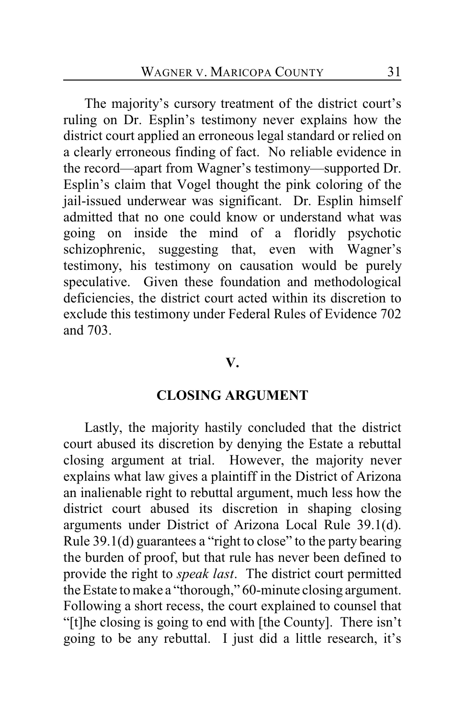The majority's cursory treatment of the district court's ruling on Dr. Esplin's testimony never explains how the district court applied an erroneous legal standard or relied on a clearly erroneous finding of fact. No reliable evidence in the record—apart from Wagner's testimony—supported Dr. Esplin's claim that Vogel thought the pink coloring of the jail-issued underwear was significant. Dr. Esplin himself admitted that no one could know or understand what was going on inside the mind of a floridly psychotic schizophrenic, suggesting that, even with Wagner's testimony, his testimony on causation would be purely speculative. Given these foundation and methodological deficiencies, the district court acted within its discretion to exclude this testimony under Federal Rules of Evidence 702 and 703.

#### **V.**

#### **CLOSING ARGUMENT**

Lastly, the majority hastily concluded that the district court abused its discretion by denying the Estate a rebuttal closing argument at trial. However, the majority never explains what law gives a plaintiff in the District of Arizona an inalienable right to rebuttal argument, much less how the district court abused its discretion in shaping closing arguments under District of Arizona Local Rule 39.1(d). Rule 39.1(d) guarantees a "right to close" to the party bearing the burden of proof, but that rule has never been defined to provide the right to *speak last*. The district court permitted the Estate to make a "thorough," 60-minute closing argument. Following a short recess, the court explained to counsel that "[t]he closing is going to end with [the County]. There isn't going to be any rebuttal. I just did a little research, it's